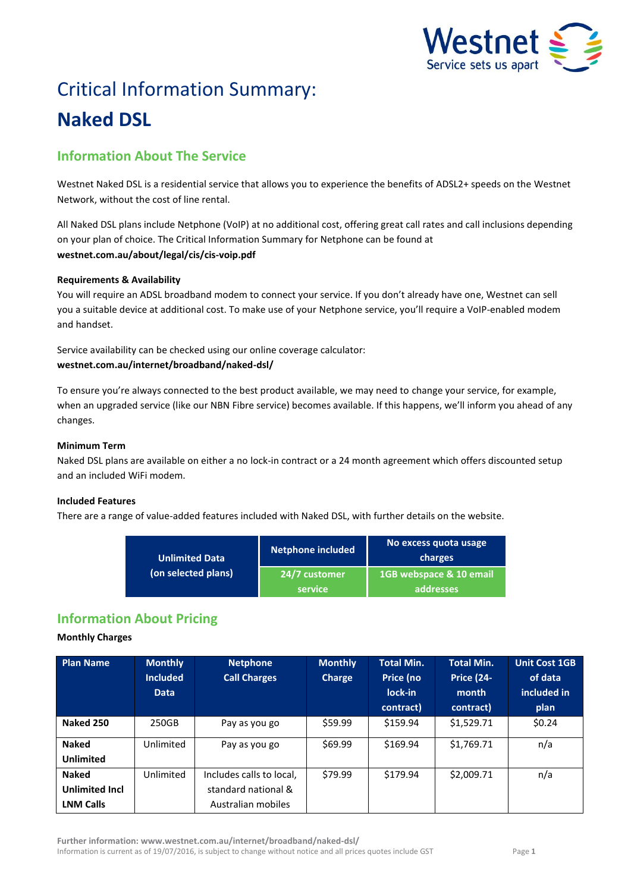

# Critical Information Summary: **Naked DSL**

# **Information About The Service**

Westnet Naked DSL is a residential service that allows you to experience the benefits of ADSL2+ speeds on the Westnet Network, without the cost of line rental.

All Naked DSL plans include Netphone (VoIP) at no additional cost, offering great call rates and call inclusions depending on your plan of choice. The Critical Information Summary for Netphone can be found at **westnet.com.au/about/legal/cis/cis-voip.pdf**

# **Requirements & Availability**

You will require an ADSL broadband modem to connect your service. If you don't already have one, Westnet can sell you a suitable device at additional cost. To make use of your Netphone service, you'll require a VoIP-enabled modem and handset.

Service availability can be checked using our online coverage calculator: **westnet.com.au/internet/broadband/naked-dsl/**

To ensure you're always connected to the best product available, we may need to change your service, for example, when an upgraded service (like our NBN Fibre service) becomes available. If this happens, we'll inform you ahead of any changes.

# **Minimum Term**

Naked DSL plans are available on either a no lock-in contract or a 24 month agreement which offers discounted setup and an included WiFi modem.

# **Included Features**

There are a range of value-added features included with Naked DSL, with further details on the website.

| <b>Unlimited Data</b> | <b>Netphone included</b>        | No excess quota usage<br>charges     |  |
|-----------------------|---------------------------------|--------------------------------------|--|
| (on selected plans)   | 24/7 customer<br><b>service</b> | 1GB webspace & 10 email<br>addresses |  |

# **Information About Pricing**

## **Monthly Charges**

| <b>Plan Name</b>      | <b>Monthly</b><br><b>Included</b><br><b>Data</b> | <b>Netphone</b><br><b>Call Charges</b> | <b>Monthly</b><br>Charge | Total Min.<br>Price (no<br>lock-in<br>contract) | <b>Total Min.</b><br><b>Price (24-</b><br>month<br>contract) | <b>Unit Cost 1GB</b><br>of data<br>included in<br>plan |
|-----------------------|--------------------------------------------------|----------------------------------------|--------------------------|-------------------------------------------------|--------------------------------------------------------------|--------------------------------------------------------|
| Naked 250             | 250GB                                            | Pay as you go                          | \$59.99                  | \$159.94                                        | \$1,529.71                                                   | \$0.24                                                 |
| <b>Naked</b>          | Unlimited                                        | Pay as you go                          | \$69.99                  | \$169.94                                        | \$1,769.71                                                   | n/a                                                    |
| <b>Unlimited</b>      |                                                  |                                        |                          |                                                 |                                                              |                                                        |
| <b>Naked</b>          | Unlimited                                        | Includes calls to local,               | \$79.99                  | \$179.94                                        | \$2,009.71                                                   | n/a                                                    |
| <b>Unlimited Incl</b> |                                                  | standard national &                    |                          |                                                 |                                                              |                                                        |
| <b>LNM Calls</b>      |                                                  | Australian mobiles                     |                          |                                                 |                                                              |                                                        |